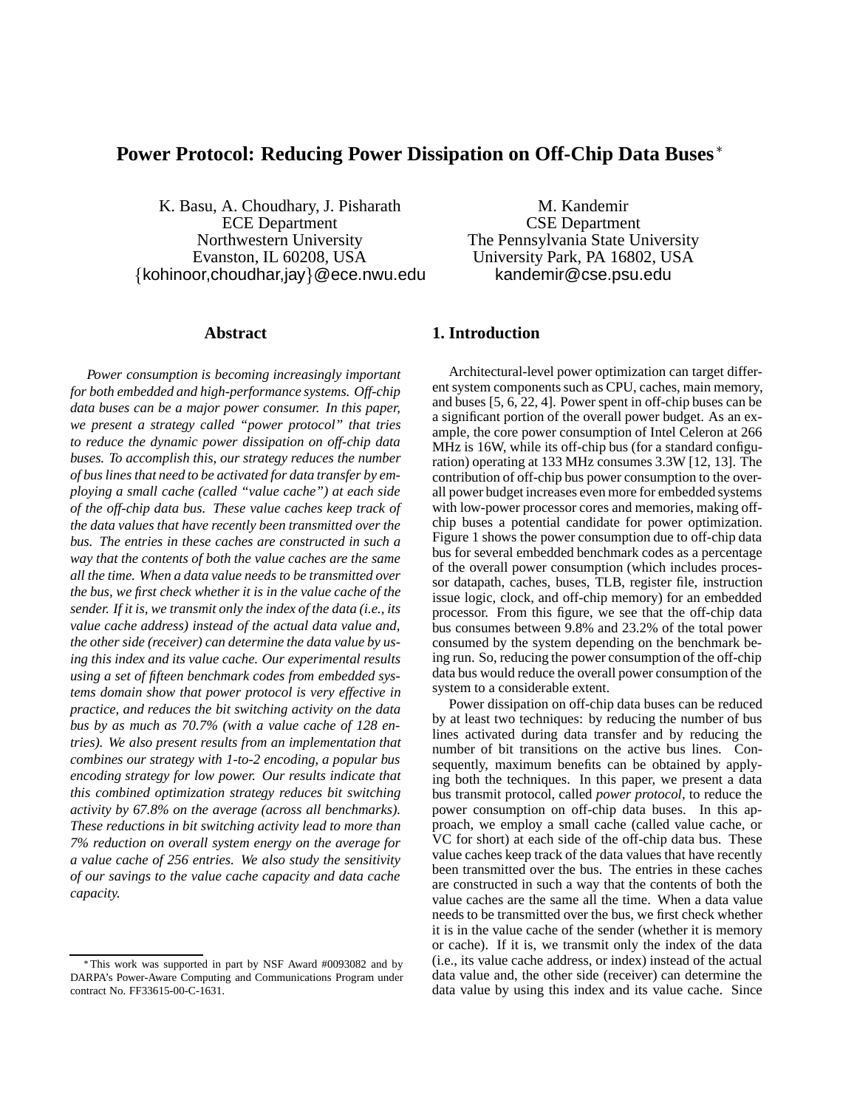# **Power Protocol: Reducing Power Dissipation on Off-Chip Data Buses**

K. Basu, A. Choudhary, J. Pisharath ECE Department Northwestern University Evanston, IL 60208, USA  $\{kohinoor, choudhar, jay\}$ @ece.nwu.edu

#### **Abstract**

*Power consumption is becoming increasingly important for both embedded and high-performance systems. Off-chip data buses can be a major power consumer. In this paper, we present a strategy called "power protocol" that tries to reduce the dynamic power dissipation on off-chip data buses. To accomplish this, our strategy reduces the number of bus lines that need to be activated for data transfer by employing a small cache (called "value cache") at each side of the off-chip data bus. These value caches keep track of the data values that have recently been transmitted over the bus. The entries in these caches are constructed in such a way that the contents of both the value caches are the same all the time. When a data value needs to be transmitted over the bus, we first check whether it is in the value cache of the sender. If it is, we transmit only the index of the data (i.e., its value cache address) instead of the actual data value and, the other side (receiver) can determine the data value by using this index and its value cache. Our experimental results using a set of fifteen benchmark codes from embedded systems domain show that power protocol is very effective in practice, and reduces the bit switching activity on the data bus by as much as 70.7% (with a value cache of 128 entries). We also present results from an implementation that combines our strategy with 1-to-2 encoding, a popular bus encoding strategy for low power. Our results indicate that this combined optimization strategy reduces bit switching activity by 67.8% on the average (across all benchmarks). These reductions in bit switching activity lead to more than 7% reduction on overall system energy on the average for a value cache of 256 entries. We also study the sensitivity of our savings to the value cache capacity and data cache capacity.*

M. Kandemir CSE Department The Pennsylvania State University University Park, PA 16802, USA kandemir@cse.psu.edu

## **1. Introduction**

Architectural-level power optimization can target different system components such as CPU, caches, main memory, and buses [5, 6, 22, 4]. Power spent in off-chip buses can be a significant portion of the overall power budget. As an example, the core power consumption of Intel Celeron at 266 MHz is 16W, while its off-chip bus (for a standard configuration) operating at 133 MHz consumes 3.3W [12, 13]. The contribution of off-chip bus power consumption to the overall power budget increases even more for embedded systems with low-power processor cores and memories, making offchip buses a potential candidate for power optimization. Figure 1 shows the power consumption due to off-chip data bus for several embedded benchmark codes as a percentage of the overall power consumption (which includes processor datapath, caches, buses, TLB, register file, instruction issue logic, clock, and off-chip memory) for an embedded processor. From this figure, we see that the off-chip data bus consumes between 9.8% and 23.2% of the total power consumed by the system depending on the benchmark being run. So, reducing the power consumption of the off-chip data bus would reduce the overall power consumption of the system to a considerable extent.

Power dissipation on off-chip data buses can be reduced by at least two techniques: by reducing the number of bus lines activated during data transfer and by reducing the number of bit transitions on the active bus lines. Consequently, maximum benefits can be obtained by applying both the techniques. In this paper, we present a data bus transmit protocol, called *power protocol,* to reduce the power consumption on off-chip data buses. In this approach, we employ a small cache (called value cache, or VC for short) at each side of the off-chip data bus. These value caches keep track of the data values that have recently been transmitted over the bus. The entries in these caches are constructed in such a way that the contents of both the value caches are the same all the time. When a data value needs to be transmitted over the bus, we first check whether it is in the value cache of the sender (whether it is memory or cache). If it is, we transmit only the index of the data (i.e., its value cache address, or index) instead of the actual data value and, the other side (receiver) can determine the data value by using this index and its value cache. Since

This work was supported in part by NSF Award #0093082 and by DARPA's Power-Aware Computing and Communications Program under contract No. FF33615-00-C-1631.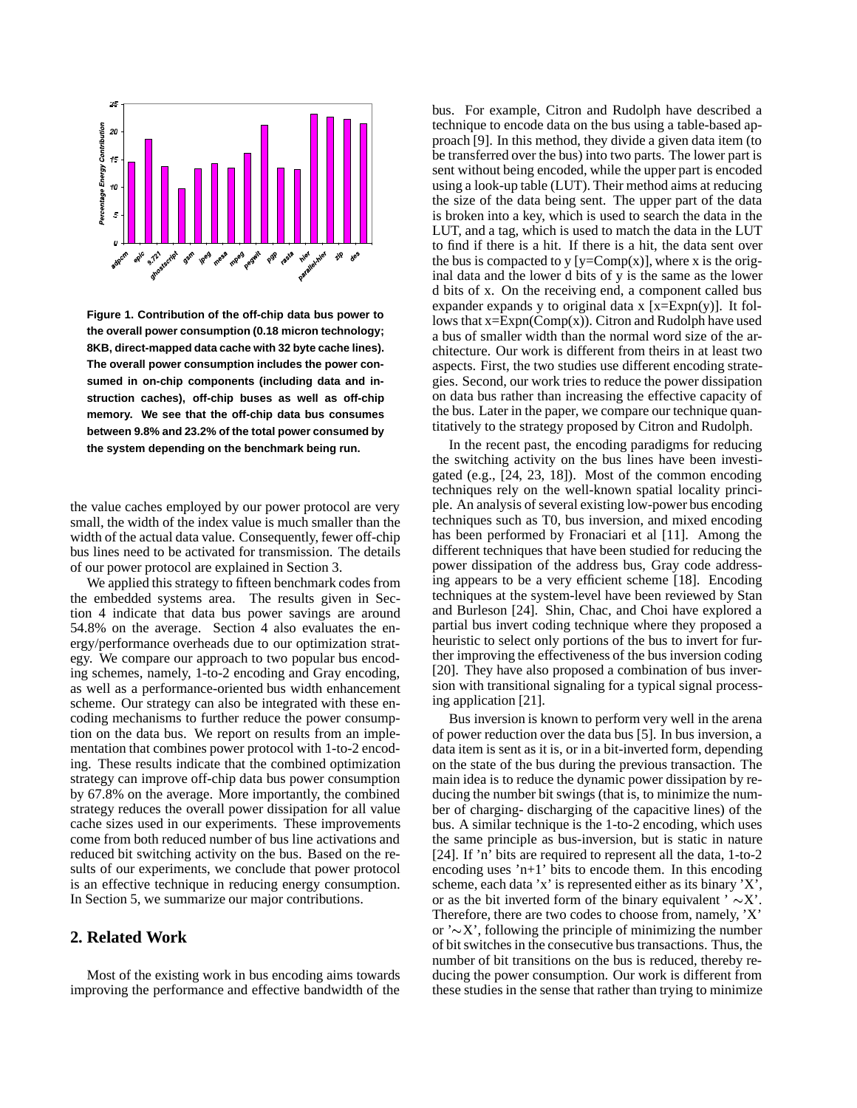

**Figure 1. Contribution of the off-chip data bus power to the overall power consumption (0.18 micron technology; 8KB, direct-mapped data cache with 32 byte cache lines). The overall power consumption includes the power consumed in on-chip components (including data and instruction caches), off-chip buses as well as off-chip memory. We see that the off-chip data bus consumes between 9.8% and 23.2% of the total power consumed by the system depending on the benchmark being run.**

the value caches employed by our power protocol are very small, the width of the index value is much smaller than the width of the actual data value. Consequently, fewer off-chip bus lines need to be activated for transmission. The details of our power protocol are explained in Section 3.

We applied this strategy to fifteen benchmark codes from the embedded systems area. The results given in Section 4 indicate that data bus power savings are around 54.8% on the average. Section 4 also evaluates the energy/performance overheads due to our optimization strategy. We compare our approach to two popular bus encoding schemes, namely, 1-to-2 encoding and Gray encoding, as well as a performance-oriented bus width enhancement scheme. Our strategy can also be integrated with these encoding mechanisms to further reduce the power consumption on the data bus. We report on results from an implementation that combines power protocol with 1-to-2 encoding. These results indicate that the combined optimization strategy can improve off-chip data bus power consumption by 67.8% on the average. More importantly, the combined strategy reduces the overall power dissipation for all value cache sizes used in our experiments. These improvements come from both reduced number of bus line activations and reduced bit switching activity on the bus. Based on the results of our experiments, we conclude that power protocol is an effective technique in reducing energy consumption. In Section 5, we summarize our major contributions.

## **2. Related Work**

Most of the existing work in bus encoding aims towards improving the performance and effective bandwidth of the

bus. For example, Citron and Rudolph have described a technique to encode data on the bus using a table-based approach [9]. In this method, they divide a given data item (to be transferred over the bus) into two parts. The lower part is sent without being encoded, while the upper part is encoded using a look-up table (LUT). Their method aims at reducing the size of the data being sent. The upper part of the data is broken into a key, which is used to search the data in the LUT, and a tag, which is used to match the data in the LUT to find if there is a hit. If there is a hit, the data sent over the bus is compacted to y [y=Comp(x)], where x is the original data and the lower d bits of y is the same as the lower d bits of x. On the receiving end, a component called bus expander expands y to original data  $x$  [ $x=Expn(y)$ ]. It follows that  $x = Expn(Comp(x))$ . Citron and Rudolph have used a bus of smaller width than the normal word size of the architecture. Our work is different from theirs in at least two aspects. First, the two studies use different encoding strategies. Second, our work tries to reduce the power dissipation on data bus rather than increasing the effective capacity of the bus. Later in the paper, we compare our technique quantitatively to the strategy proposed by Citron and Rudolph.

In the recent past, the encoding paradigms for reducing the switching activity on the bus lines have been investigated (e.g., [24, 23, 18]). Most of the common encoding techniques rely on the well-known spatial locality principle. An analysis of several existing low-power bus encoding techniques such as T0, bus inversion, and mixed encoding has been performed by Fronaciari et al [11]. Among the different techniques that have been studied for reducing the power dissipation of the address bus, Gray code addressing appears to be a very efficient scheme [18]. Encoding techniques at the system-level have been reviewed by Stan and Burleson [24]. Shin, Chac, and Choi have explored a partial bus invert coding technique where they proposed a heuristic to select only portions of the bus to invert for further improving the effectiveness of the bus inversion coding [20]. They have also proposed a combination of bus inversion with transitional signaling for a typical signal processing application [21].

Bus inversion is known to perform very well in the arena of power reduction over the data bus [5]. In bus inversion, a data item is sent as it is, or in a bit-inverted form, depending on the state of the bus during the previous transaction. The main idea is to reduce the dynamic power dissipation by reducing the number bit swings (that is, to minimize the number of charging- discharging of the capacitive lines) of the bus. A similar technique is the 1-to-2 encoding, which uses the same principle as bus-inversion, but is static in nature [24]. If 'n' bits are required to represent all the data, 1-to-2 encoding uses 'n+1' bits to encode them. In this encoding scheme, each data 'x' is represented either as its binary 'X', or as the bit inverted form of the binary equivalent  $\cdot \sim X'$ . Therefore, there are two codes to choose from, namely, 'X' or  $\sim X$ , following the principle of minimizing the number of bit switches in the consecutive bus transactions. Thus, the number of bit transitions on the bus is reduced, thereby reducing the power consumption. Our work is different from these studies in the sense that rather than trying to minimize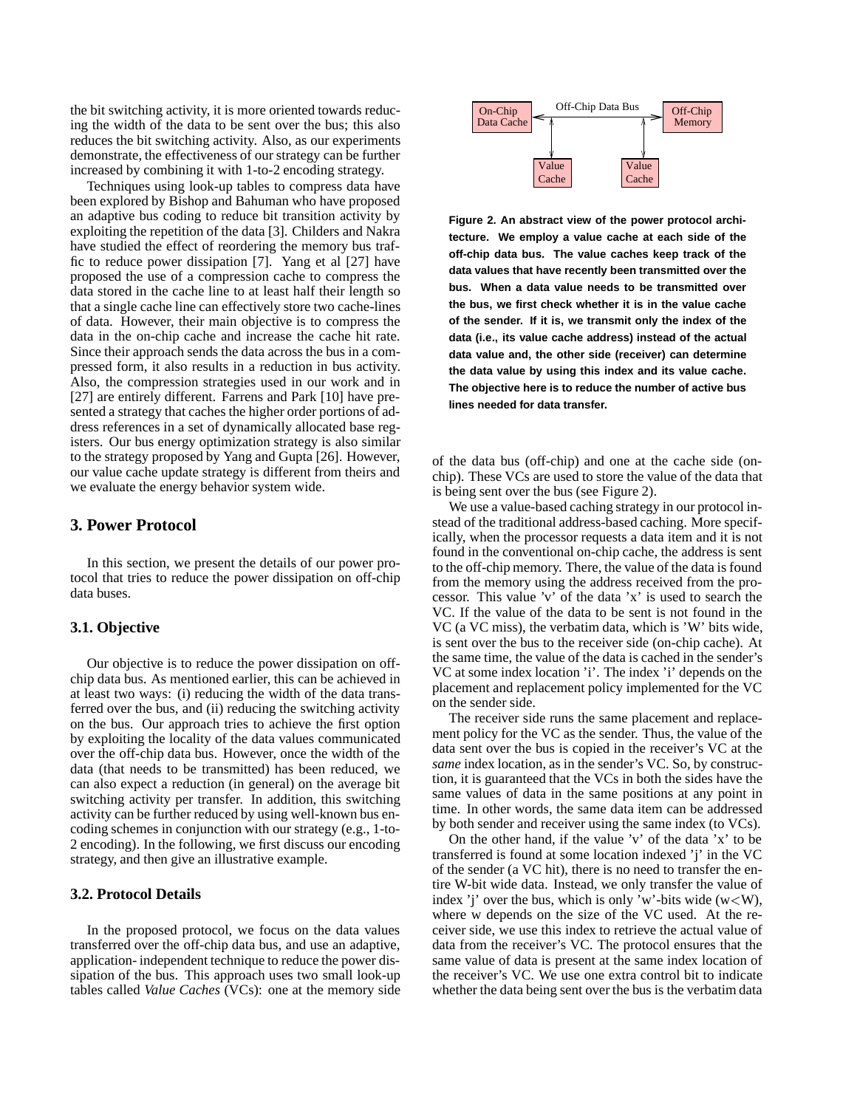the bit switching activity, it is more oriented towards reducing the width of the data to be sent over the bus; this also reduces the bit switching activity. Also, as our experiments demonstrate, the effectiveness of our strategy can be further increased by combining it with 1-to-2 encoding strategy.

Techniques using look-up tables to compress data have been explored by Bishop and Bahuman who have proposed an adaptive bus coding to reduce bit transition activity by exploiting the repetition of the data [3]. Childers and Nakra have studied the effect of reordering the memory bus traffic to reduce power dissipation [7]. Yang et al [27] have proposed the use of a compression cache to compress the data stored in the cache line to at least half their length so that a single cache line can effectively store two cache-lines of data. However, their main objective is to compress the data in the on-chip cache and increase the cache hit rate. Since their approach sends the data across the bus in a compressed form, it also results in a reduction in bus activity. Also, the compression strategies used in our work and in [27] are entirely different. Farrens and Park [10] have presented a strategy that caches the higher order portions of address references in a set of dynamically allocated base registers. Our bus energy optimization strategy is also similar to the strategy proposed by Yang and Gupta [26]. However, our value cache update strategy is different from theirs and we evaluate the energy behavior system wide.

### **3. Power Protocol**

In this section, we present the details of our power protocol that tries to reduce the power dissipation on off-chip data buses.

### **3.1. Objective**

Our objective is to reduce the power dissipation on offchip data bus. As mentioned earlier, this can be achieved in at least two ways: (i) reducing the width of the data transferred over the bus, and (ii) reducing the switching activity on the bus. Our approach tries to achieve the first option by exploiting the locality of the data values communicated over the off-chip data bus. However, once the width of the data (that needs to be transmitted) has been reduced, we can also expect a reduction (in general) on the average bit switching activity per transfer. In addition, this switching activity can be further reduced by using well-known bus encoding schemes in conjunction with our strategy (e.g., 1-to-2 encoding). In the following, we first discuss our encoding strategy, and then give an illustrative example.

## **3.2. Protocol Details**

In the proposed protocol, we focus on the data values transferred over the off-chip data bus, and use an adaptive, application- independent technique to reduce the power dissipation of the bus. This approach uses two small look-up tables called *Value Caches* (VCs): one at the memory side



**Figure 2. An abstract view of the power protocol architecture. We employ a value cache at each side of the off-chip data bus. The value caches keep track of the data values that have recently been transmitted over the bus. When a data value needs to be transmitted over the bus, we first check whether it is in the value cache of the sender. If it is, we transmit only the index of the data (i.e., its value cache address) instead of the actual data value and, the other side (receiver) can determine the data value by using this index and its value cache. The objective here is to reduce the number of active bus lines needed for data transfer.**

of the data bus (off-chip) and one at the cache side (onchip). These VCs are used to store the value of the data that is being sent over the bus (see Figure 2).

We use a value-based caching strategy in our protocol instead of the traditional address-based caching. More specifically, when the processor requests a data item and it is not found in the conventional on-chip cache, the address is sent to the off-chip memory. There, the value of the data is found from the memory using the address received from the processor. This value 'v' of the data 'x' is used to search the VC. If the value of the data to be sent is not found in the VC (a VC miss), the verbatim data, which is 'W' bits wide, is sent over the bus to the receiver side (on-chip cache). At the same time, the value of the data is cached in the sender's VC at some index location 'i'. The index 'i' depends on the placement and replacement policy implemented for the VC on the sender side.

The receiver side runs the same placement and replacement policy for the VC as the sender. Thus, the value of the data sent over the bus is copied in the receiver's VC at the *same* index location, as in the sender's VC. So, by construction, it is guaranteed that the VCs in both the sides have the same values of data in the same positions at any point in time. In other words, the same data item can be addressed by both sender and receiver using the same index (to VCs).

On the other hand, if the value 'v' of the data 'x' to be transferred is found at some location indexed 'j' in the VC of the sender (a VC hit), there is no need to transfer the entire W-bit wide data. Instead, we only transfer the value of index 'j' over the bus, which is only 'w'-bits wide  $(w< W)$ , where w depends on the size of the VC used. At the receiver side, we use this index to retrieve the actual value of data from the receiver's VC. The protocol ensures that the same value of data is present at the same index location of the receiver's VC. We use one extra control bit to indicate whether the data being sent over the bus is the verbatim data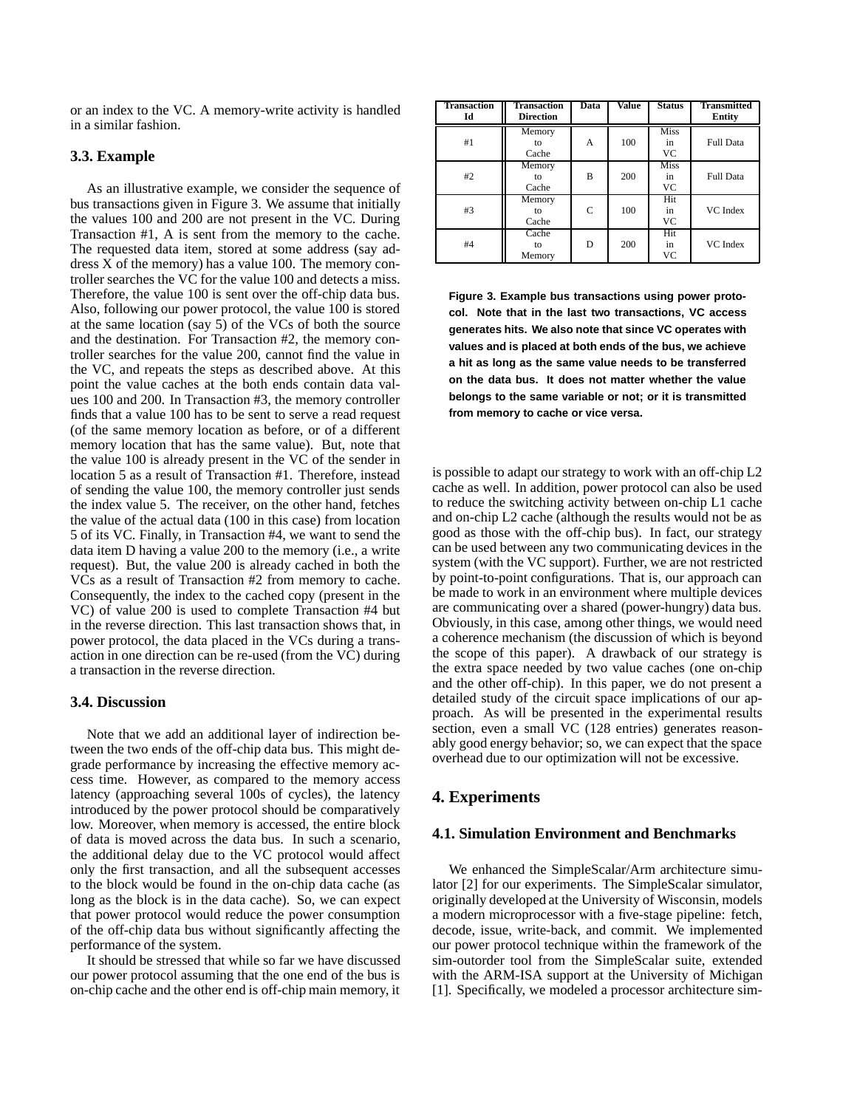or an index to the VC. A memory-write activity is handled in a similar fashion.

#### **3.3. Example**

As an illustrative example, we consider the sequence of bus transactions given in Figure 3. We assume that initially the values 100 and 200 are not present in the VC. During Transaction #1, A is sent from the memory to the cache. The requested data item, stored at some address (say address X of the memory) has a value 100. The memory controller searches the VC for the value 100 and detects a miss. Therefore, the value 100 is sent over the off-chip data bus. Also, following our power protocol, the value 100 is stored at the same location (say 5) of the VCs of both the source and the destination. For Transaction #2, the memory controller searches for the value 200, cannot find the value in the VC, and repeats the steps as described above. At this point the value caches at the both ends contain data values 100 and 200. In Transaction #3, the memory controller finds that a value 100 has to be sent to serve a read request (of the same memory location as before, or of a different memory location that has the same value). But, note that the value 100 is already present in the VC of the sender in location 5 as a result of Transaction #1. Therefore, instead of sending the value 100, the memory controller just sends the index value 5. The receiver, on the other hand, fetches the value of the actual data (100 in this case) from location 5 of its VC. Finally, in Transaction #4, we want to send the data item D having a value 200 to the memory (i.e., a write request). But, the value 200 is already cached in both the VCs as a result of Transaction #2 from memory to cache. Consequently, the index to the cached copy (present in the VC) of value 200 is used to complete Transaction #4 but in the reverse direction. This last transaction shows that, in power protocol, the data placed in the VCs during a transaction in one direction can be re-used (from the VC) during a transaction in the reverse direction.

### **3.4. Discussion**

Note that we add an additional layer of indirection between the two ends of the off-chip data bus. This might degrade performance by increasing the effective memory access time. However, as compared to the memory access latency (approaching several 100s of cycles), the latency introduced by the power protocol should be comparatively low. Moreover, when memory is accessed, the entire block of data is moved across the data bus. In such a scenario, the additional delay due to the VC protocol would affect only the first transaction, and all the subsequent accesses to the block would be found in the on-chip data cache (as long as the block is in the data cache). So, we can expect that power protocol would reduce the power consumption of the off-chip data bus without significantly affecting the performance of the system.

It should be stressed that while so far we have discussed our power protocol assuming that the one end of the bus is on-chip cache and the other end is off-chip main memory, it

| <b>Transaction</b><br>Id | <b>Transaction</b><br><b>Direction</b> | Data | Value | <b>Status</b>           | <b>Transmitted</b><br>Entity |
|--------------------------|----------------------------------------|------|-------|-------------------------|------------------------------|
| #1                       | Memory<br>tο<br>Cache                  | A    | 100   | Miss<br>in<br>VC        | <b>Full Data</b>             |
| #2                       | Memory<br>tο<br>Cache                  | B    | 200   | <b>Miss</b><br>in<br>VC | <b>Full Data</b>             |
| #3                       | Memory<br>tο<br>Cache                  | C    | 100   | Hit<br>in<br>VC         | VC Index                     |
| #4                       | Cache<br>tο<br>Memory                  | D    | 200   | Hit<br>in<br>VC         | VC Index                     |

**Figure 3. Example bus transactions using power protocol. Note that in the last two transactions, VC access generates hits. We also note that since VC operates with values and is placed at both ends of the bus, we achieve a hit as long as the same value needs to be transferred on the data bus. It does not matter whether the value belongs to the same variable or not; or it is transmitted from memory to cache or vice versa.**

is possible to adapt our strategy to work with an off-chip L2 cache as well. In addition, power protocol can also be used to reduce the switching activity between on-chip L1 cache and on-chip L2 cache (although the results would not be as good as those with the off-chip bus). In fact, our strategy can be used between any two communicating devices in the system (with the VC support). Further, we are not restricted by point-to-point configurations. That is, our approach can be made to work in an environment where multiple devices are communicating over a shared (power-hungry) data bus. Obviously, in this case, among other things, we would need a coherence mechanism (the discussion of which is beyond the scope of this paper). A drawback of our strategy is the extra space needed by two value caches (one on-chip and the other off-chip). In this paper, we do not present a detailed study of the circuit space implications of our approach. As will be presented in the experimental results section, even a small VC (128 entries) generates reasonably good energy behavior; so, we can expect that the space overhead due to our optimization will not be excessive.

### **4. Experiments**

#### **4.1. Simulation Environment and Benchmarks**

We enhanced the SimpleScalar/Arm architecture simulator [2] for our experiments. The SimpleScalar simulator, originally developed at the University of Wisconsin, models a modern microprocessor with a five-stage pipeline: fetch, decode, issue, write-back, and commit. We implemented our power protocol technique within the framework of the sim-outorder tool from the SimpleScalar suite, extended with the ARM-ISA support at the University of Michigan [1]. Specifically, we modeled a processor architecture sim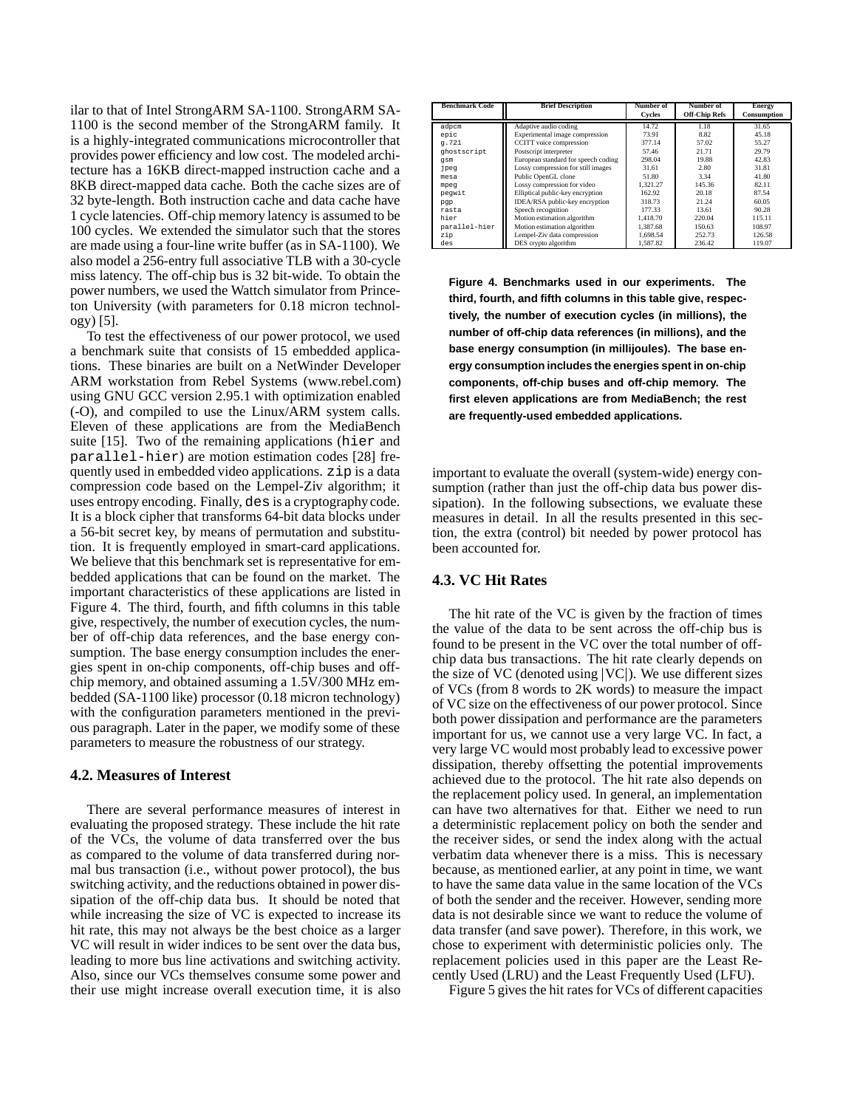ilar to that of Intel StrongARM SA-1100. StrongARM SA-1100 is the second member of the StrongARM family. It is a highly-integrated communications microcontroller that provides power efficiency and low cost. The modeled architecture has a 16KB direct-mapped instruction cache and a 8KB direct-mapped data cache. Both the cache sizes are of 32 byte-length. Both instruction cache and data cache have 1 cycle latencies. Off-chip memory latency is assumed to be 100 cycles. We extended the simulator such that the stores are made using a four-line write buffer (as in SA-1100). We also model a 256-entry full associative TLB with a 30-cycle miss latency. The off-chip bus is 32 bit-wide. To obtain the power numbers, we used the Wattch simulator from Princeton University (with parameters for 0.18 micron technology) [5].

To test the effectiveness of our power protocol, we used a benchmark suite that consists of 15 embedded applications. These binaries are built on a NetWinder Developer ARM workstation from Rebel Systems (www.rebel.com) using GNU GCC version 2.95.1 with optimization enabled (-O), and compiled to use the Linux/ARM system calls. Eleven of these applications are from the MediaBench suite [15]. Two of the remaining applications (hier and parallel-hier) are motion estimation codes [28] frequently used in embedded video applications. zip is a data compression code based on the Lempel-Ziv algorithm; it uses entropy encoding. Finally, des is a cryptography code. It is a block cipher that transforms 64-bit data blocks under a 56-bit secret key, by means of permutation and substitution. It is frequently employed in smart-card applications. We believe that this benchmark set is representative for embedded applications that can be found on the market. The important characteristics of these applications are listed in Figure 4. The third, fourth, and fifth columns in this table give, respectively, the number of execution cycles, the number of off-chip data references, and the base energy consumption. The base energy consumption includes the energies spent in on-chip components, off-chip buses and offchip memory, and obtained assuming a 1.5V/300 MHz embedded (SA-1100 like) processor (0.18 micron technology) with the configuration parameters mentioned in the previous paragraph. Later in the paper, we modify some of these parameters to measure the robustness of our strategy.

### **4.2. Measures of Interest**

There are several performance measures of interest in evaluating the proposed strategy. These include the hit rate of the VCs, the volume of data transferred over the bus as compared to the volume of data transferred during normal bus transaction (i.e., without power protocol), the bus switching activity, and the reductions obtained in power dissipation of the off-chip data bus. It should be noted that while increasing the size of VC is expected to increase its hit rate, this may not always be the best choice as a larger VC will result in wider indices to be sent over the data bus, leading to more bus line activations and switching activity. Also, since our VCs themselves consume some power and their use might increase overall execution time, it is also

| <b>Benchmark Code</b> | <b>Brief Description</b>            | Number of<br><b>Cycles</b> | Number of<br><b>Off-Chip Refs</b> | <b>Energy</b><br>Consumption |
|-----------------------|-------------------------------------|----------------------------|-----------------------------------|------------------------------|
| adpcm                 | Adaptive audio coding               | 14.72                      | 1.18                              | 31.65                        |
| epic                  | Experimental image compression      | 73.91                      | 8.82                              | 45.18                        |
| q.721                 | CCITT voice compression             | 377.14                     | 57.02                             | 55.27                        |
| ghostscript           | Postscript interpreter              | 57.46                      | 21.71                             | 29.79                        |
| qsm                   | European standard for speech coding | 298.04                     | 19.88                             | 42.83                        |
| ipeg                  | Lossy compression for still images  | 31.61                      | 2.80                              | 31.81                        |
| mesa                  | Public OpenGL clone                 | 51.80                      | 3.34                              | 41.80                        |
| mpeg                  | Lossy compression for video         | 1.321.27                   | 145.36                            | 82.11                        |
| peqwit                | Elliptical public-key encryption    | 162.92                     | 20.18                             | 87.54                        |
| pqp                   | IDEA/RSA public-key encryption      | 318.73                     | 21.24                             | 60.05                        |
| rasta                 | Speech recognition                  | 177.33                     | 13.61                             | 90.28                        |
| hier                  | Motion estimation algorithm         | 1.418.70                   | 220.04                            | 115.11                       |
| parallel-hier         | Motion estimation algorithm         | 1.387.68                   | 150.63                            | 108.97                       |
| zip                   | Lempel-Ziv data compression         | 1.698.54                   | 252.73                            | 126.58                       |
| des                   | DES crypto algorithm                | 1.587.82                   | 236.42                            | 119.07                       |

**Figure 4. Benchmarks used in our experiments. The third, fourth, and fifth columns in this table give, respectively, the number of execution cycles (in millions), the number of off-chip data references (in millions), and the base energy consumption (in millijoules). The base energy consumption includes the energies spent in on-chip components, off-chip buses and off-chip memory. The first eleven applications are from MediaBench; the rest are frequently-used embedded applications.**

important to evaluate the overall (system-wide) energy consumption (rather than just the off-chip data bus power dissipation). In the following subsections, we evaluate these measures in detail. In all the results presented in this section, the extra (control) bit needed by power protocol has been accounted for.

### **4.3. VC Hit Rates**

The hit rate of the VC is given by the fraction of times the value of the data to be sent across the off-chip bus is found to be present in the VC over the total number of offchip data bus transactions. The hit rate clearly depends on the size of VC (denoted using  $|VC|$ ). We use different sizes of VCs (from 8 words to 2K words) to measure the impact of VC size on the effectiveness of our power protocol. Since both power dissipation and performance are the parameters important for us, we cannot use a very large VC. In fact, a very large VC would most probably lead to excessive power dissipation, thereby offsetting the potential improvements achieved due to the protocol. The hit rate also depends on the replacement policy used. In general, an implementation can have two alternatives for that. Either we need to run a deterministic replacement policy on both the sender and the receiver sides, or send the index along with the actual verbatim data whenever there is a miss. This is necessary because, as mentioned earlier, at any point in time, we want to have the same data value in the same location of the VCs of both the sender and the receiver. However, sending more data is not desirable since we want to reduce the volume of data transfer (and save power). Therefore, in this work, we chose to experiment with deterministic policies only. The replacement policies used in this paper are the Least Recently Used (LRU) and the Least Frequently Used (LFU).

Figure 5 gives the hit rates for VCs of different capacities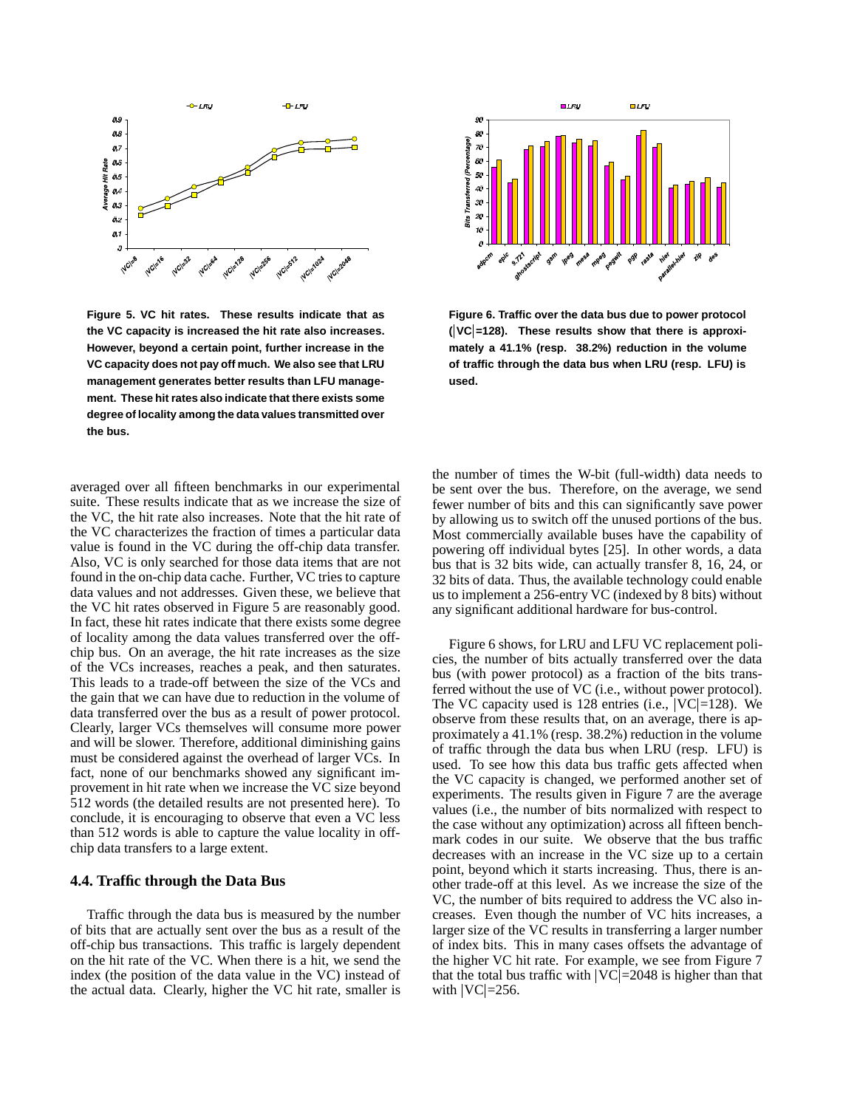

**Figure 5. VC hit rates. These results indicate that as the VC capacity is increased the hit rate also increases. However, beyond a certain point, further increase in the VC capacity does not pay off much. We also see that LRU management generates better results than LFU management. These hit rates also indicate that there exists some degree of locality among the data values transmitted over the bus.**

averaged over all fifteen benchmarks in our experimental suite. These results indicate that as we increase the size of the VC, the hit rate also increases. Note that the hit rate of the VC characterizes the fraction of times a particular data value is found in the VC during the off-chip data transfer. Also, VC is only searched for those data items that are not found in the on-chip data cache. Further, VC tries to capture data values and not addresses. Given these, we believe that the VC hit rates observed in Figure 5 are reasonably good. In fact, these hit rates indicate that there exists some degree of locality among the data values transferred over the offchip bus. On an average, the hit rate increases as the size of the VCs increases, reaches a peak, and then saturates. This leads to a trade-off between the size of the VCs and the gain that we can have due to reduction in the volume of data transferred over the bus as a result of power protocol. Clearly, larger VCs themselves will consume more power and will be slower. Therefore, additional diminishing gains must be considered against the overhead of larger VCs. In fact, none of our benchmarks showed any significant improvement in hit rate when we increase the VC size beyond 512 words (the detailed results are not presented here). To conclude, it is encouraging to observe that even a VC less than 512 words is able to capture the value locality in offchip data transfers to a large extent.

#### **4.4. Traffic through the Data Bus**

Traffic through the data bus is measured by the number of bits that are actually sent over the bus as a result of the off-chip bus transactions. This traffic is largely dependent on the hit rate of the VC. When there is a hit, we send the index (the position of the data value in the VC) instead of the actual data. Clearly, higher the VC hit rate, smaller is



**Figure 6. Traffic over the data bus due to power protocol (**j**VC**j**=128). These results show that there is approximately a 41.1% (resp. 38.2%) reduction in the volume of traffic through the data bus when LRU (resp. LFU) is used.**

the number of times the W-bit (full-width) data needs to be sent over the bus. Therefore, on the average, we send fewer number of bits and this can significantly save power by allowing us to switch off the unused portions of the bus. Most commercially available buses have the capability of powering off individual bytes [25]. In other words, a data bus that is 32 bits wide, can actually transfer 8, 16, 24, or 32 bits of data. Thus, the available technology could enable us to implement a 256-entry VC (indexed by 8 bits) without any significant additional hardware for bus-control.

Figure 6 shows, for LRU and LFU VC replacement policies, the number of bits actually transferred over the data bus (with power protocol) as a fraction of the bits transferred without the use of VC (i.e., without power protocol). The VC capacity used is 128 entries (i.e.,  $|VC| = 128$ ). We observe from these results that, on an average, there is approximately a 41.1% (resp. 38.2%) reduction in the volume of traffic through the data bus when LRU (resp. LFU) is used. To see how this data bus traffic gets affected when the VC capacity is changed, we performed another set of experiments. The results given in Figure 7 are the average values (i.e., the number of bits normalized with respect to the case without any optimization) across all fifteen benchmark codes in our suite. We observe that the bus traffic decreases with an increase in the VC size up to a certain point, beyond which it starts increasing. Thus, there is another trade-off at this level. As we increase the size of the VC, the number of bits required to address the VC also increases. Even though the number of VC hits increases, a larger size of the VC results in transferring a larger number of index bits. This in many cases offsets the advantage of the higher VC hit rate. For example, we see from Figure 7 that the total bus traffic with  $|VC|$ =2048 is higher than that with  $|VC|=256$ .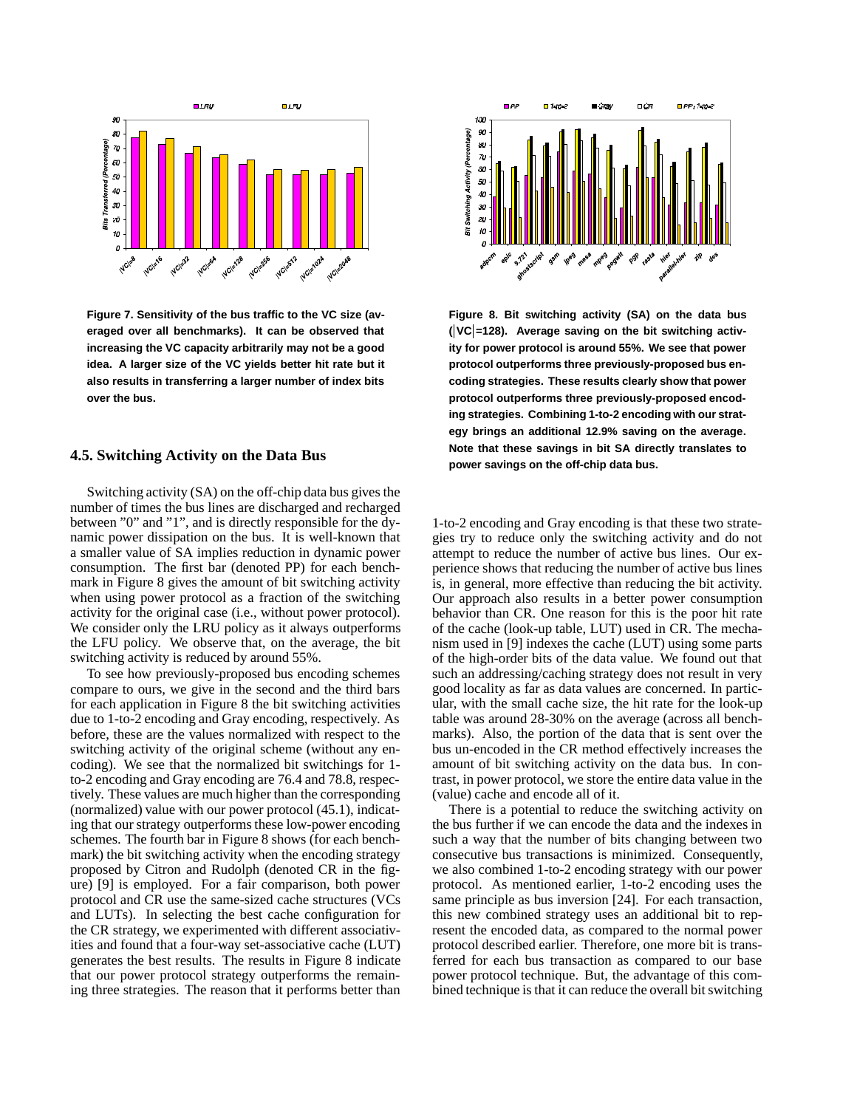

**Figure 7. Sensitivity of the bus traffic to the VC size (averaged over all benchmarks). It can be observed that increasing the VC capacity arbitrarily may not be a good idea. A larger size of the VC yields better hit rate but it also results in transferring a larger number of index bits over the bus.**

### **4.5. Switching Activity on the Data Bus**

Switching activity (SA) on the off-chip data bus gives the number of times the bus lines are discharged and recharged between "0" and "1", and is directly responsible for the dynamic power dissipation on the bus. It is well-known that a smaller value of SA implies reduction in dynamic power consumption. The first bar (denoted PP) for each benchmark in Figure 8 gives the amount of bit switching activity when using power protocol as a fraction of the switching activity for the original case (i.e., without power protocol). We consider only the LRU policy as it always outperforms the LFU policy. We observe that, on the average, the bit switching activity is reduced by around 55%.

To see how previously-proposed bus encoding schemes compare to ours, we give in the second and the third bars for each application in Figure 8 the bit switching activities due to 1-to-2 encoding and Gray encoding, respectively. As before, these are the values normalized with respect to the switching activity of the original scheme (without any encoding). We see that the normalized bit switchings for 1 to-2 encoding and Gray encoding are 76.4 and 78.8, respectively. These values are much higher than the corresponding (normalized) value with our power protocol (45.1), indicating that our strategy outperforms these low-power encoding schemes. The fourth bar in Figure 8 shows (for each benchmark) the bit switching activity when the encoding strategy proposed by Citron and Rudolph (denoted CR in the figure) [9] is employed. For a fair comparison, both power protocol and CR use the same-sized cache structures (VCs and LUTs). In selecting the best cache configuration for the CR strategy, we experimented with different associativities and found that a four-way set-associative cache (LUT) generates the best results. The results in Figure 8 indicate that our power protocol strategy outperforms the remaining three strategies. The reason that it performs better than



**Figure 8. Bit switching activity (SA) on the data bus (**j**VC**j**=128). Average saving on the bit switching activity for power protocol is around 55%. We see that power protocol outperforms three previously-proposed bus encoding strategies. These results clearly show that power protocol outperforms three previously-proposed encoding strategies. Combining 1-to-2 encoding with our strategy brings an additional 12.9% saving on the average. Note that these savings in bit SA directly translates to power savings on the off-chip data bus.**

1-to-2 encoding and Gray encoding is that these two strategies try to reduce only the switching activity and do not attempt to reduce the number of active bus lines. Our experience shows that reducing the number of active bus lines is, in general, more effective than reducing the bit activity. Our approach also results in a better power consumption behavior than CR. One reason for this is the poor hit rate of the cache (look-up table, LUT) used in CR. The mechanism used in [9] indexes the cache (LUT) using some parts of the high-order bits of the data value. We found out that such an addressing/caching strategy does not result in very good locality as far as data values are concerned. In particular, with the small cache size, the hit rate for the look-up table was around 28-30% on the average (across all benchmarks). Also, the portion of the data that is sent over the bus un-encoded in the CR method effectively increases the amount of bit switching activity on the data bus. In contrast, in power protocol, we store the entire data value in the (value) cache and encode all of it.

There is a potential to reduce the switching activity on the bus further if we can encode the data and the indexes in such a way that the number of bits changing between two consecutive bus transactions is minimized. Consequently, we also combined 1-to-2 encoding strategy with our power protocol. As mentioned earlier, 1-to-2 encoding uses the same principle as bus inversion [24]. For each transaction, this new combined strategy uses an additional bit to represent the encoded data, as compared to the normal power protocol described earlier. Therefore, one more bit is transferred for each bus transaction as compared to our base power protocol technique. But, the advantage of this combined technique is that it can reduce the overall bit switching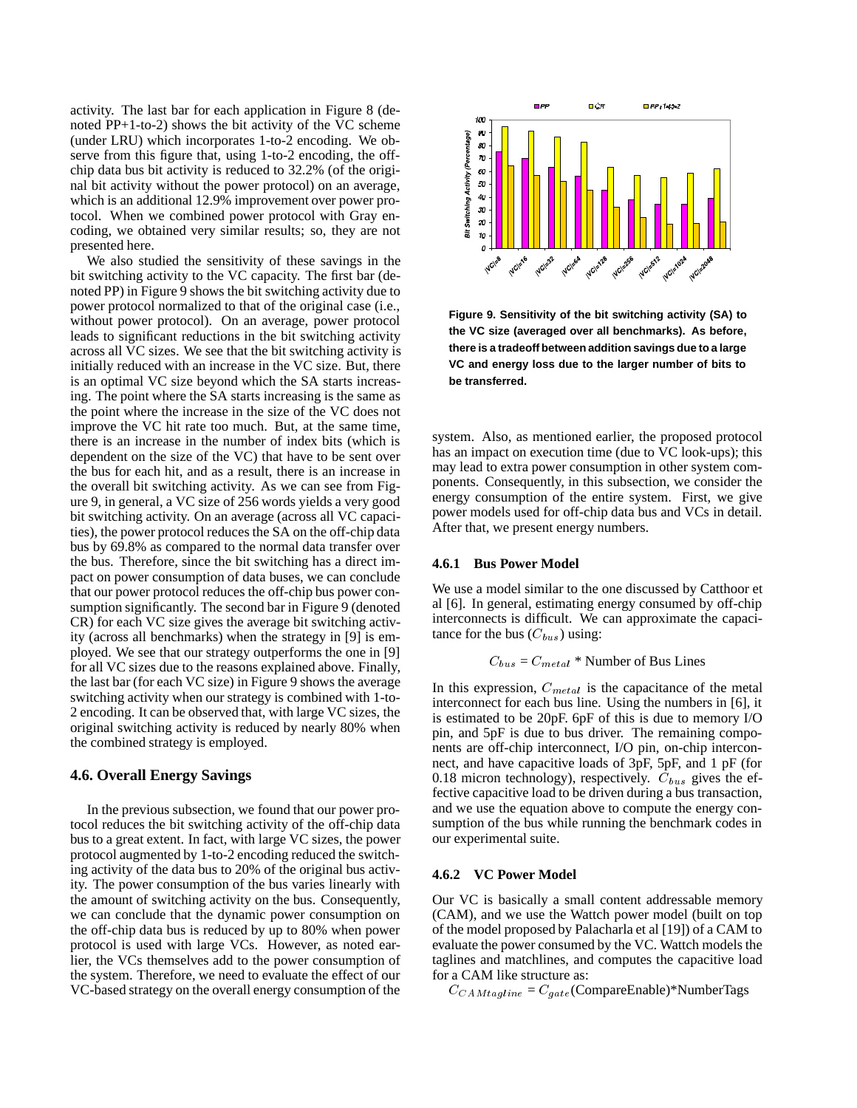activity. The last bar for each application in Figure 8 (denoted PP+1-to-2) shows the bit activity of the VC scheme (under LRU) which incorporates 1-to-2 encoding. We observe from this figure that, using 1-to-2 encoding, the offchip data bus bit activity is reduced to 32.2% (of the original bit activity without the power protocol) on an average, which is an additional 12.9% improvement over power protocol. When we combined power protocol with Gray encoding, we obtained very similar results; so, they are not presented here.

We also studied the sensitivity of these savings in the bit switching activity to the VC capacity. The first bar (denoted PP) in Figure 9 shows the bit switching activity due to power protocol normalized to that of the original case (i.e., without power protocol). On an average, power protocol leads to significant reductions in the bit switching activity across all VC sizes. We see that the bit switching activity is initially reduced with an increase in the VC size. But, there is an optimal VC size beyond which the SA starts increasing. The point where the SA starts increasing is the same as the point where the increase in the size of the VC does not improve the VC hit rate too much. But, at the same time, there is an increase in the number of index bits (which is dependent on the size of the VC) that have to be sent over the bus for each hit, and as a result, there is an increase in the overall bit switching activity. As we can see from Figure 9, in general, a VC size of 256 words yields a very good bit switching activity. On an average (across all VC capacities), the power protocol reduces the SA on the off-chip data bus by 69.8% as compared to the normal data transfer over the bus. Therefore, since the bit switching has a direct impact on power consumption of data buses, we can conclude that our power protocol reduces the off-chip bus power consumption significantly. The second bar in Figure 9 (denoted CR) for each VC size gives the average bit switching activity (across all benchmarks) when the strategy in [9] is employed. We see that our strategy outperforms the one in [9] for all VC sizes due to the reasons explained above. Finally, the last bar (for each VC size) in Figure 9 shows the average switching activity when our strategy is combined with 1-to-2 encoding. It can be observed that, with large VC sizes, the original switching activity is reduced by nearly 80% when the combined strategy is employed.

### **4.6. Overall Energy Savings**

In the previous subsection, we found that our power protocol reduces the bit switching activity of the off-chip data bus to a great extent. In fact, with large VC sizes, the power protocol augmented by 1-to-2 encoding reduced the switching activity of the data bus to 20% of the original bus activity. The power consumption of the bus varies linearly with the amount of switching activity on the bus. Consequently, we can conclude that the dynamic power consumption on the off-chip data bus is reduced by up to 80% when power protocol is used with large VCs. However, as noted earlier, the VCs themselves add to the power consumption of the system. Therefore, we need to evaluate the effect of our VC-based strategy on the overall energy consumption of the



**Figure 9. Sensitivity of the bit switching activity (SA) to the VC size (averaged over all benchmarks). As before, there is a tradeoff between addition savings due to a large VC and energy loss due to the larger number of bits to be transferred.**

system. Also, as mentioned earlier, the proposed protocol has an impact on execution time (due to VC look-ups); this may lead to extra power consumption in other system components. Consequently, in this subsection, we consider the energy consumption of the entire system. First, we give power models used for off-chip data bus and VCs in detail. After that, we present energy numbers.

#### **4.6.1 Bus Power Model**

We use a model similar to the one discussed by Catthoor et al [6]. In general, estimating energy consumed by off-chip interconnects is difficult. We can approximate the capacitance for the bus  $(C_{bus})$  using:

$$
C_{bus} = C_{metal} *
$$
 Number of Bus Lines

In this expression,  $C_{metal}$  is the capacitance of the metal interconnect for each bus line. Using the numbers in [6], it is estimated to be 20pF. 6pF of this is due to memory I/O pin, and 5pF is due to bus driver. The remaining components are off-chip interconnect, I/O pin, on-chip interconnect, and have capacitive loads of 3pF, 5pF, and 1 pF (for 0.18 micron technology), respectively.  $C_{bus}$  gives the effective capacitive load to be driven during a bus transaction, and we use the equation above to compute the energy consumption of the bus while running the benchmark codes in our experimental suite.

#### **4.6.2 VC Power Model**

Our VC is basically a small content addressable memory (CAM), and we use the Wattch power model (built on top of the model proposed by Palacharla et al [19]) of a CAM to evaluate the power consumed by the VC. Wattch models the taglines and matchlines, and computes the capacitive load for a CAM like structure as:

 $C_{CAM \, tagline} = C_{gate}$ (CompareEnable)\*NumberTags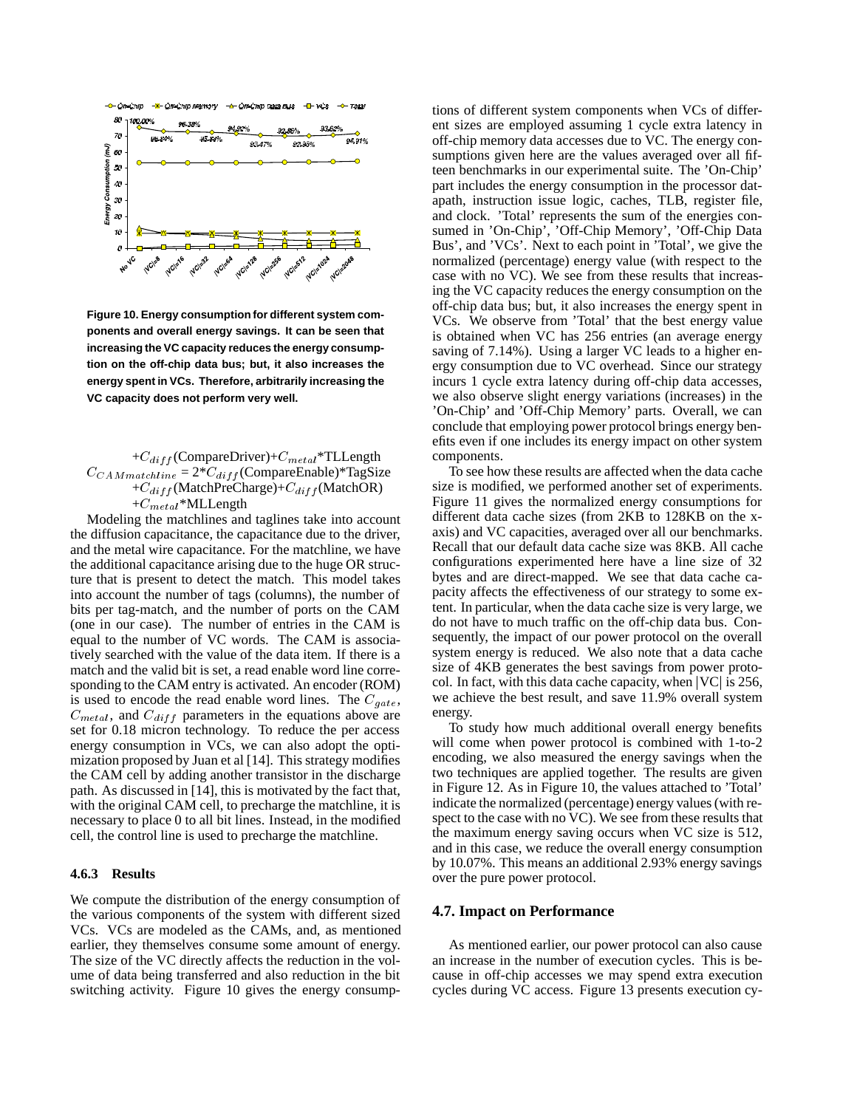

**Figure 10. Energy consumption for different system components and overall energy savings. It can be seen that increasing the VC capacity reduces the energy consumption on the off-chip data bus; but, it also increases the energy spent in VCs. Therefore, arbitrarily increasing the VC capacity does not perform very well.**

 $+C_{diff}$  (CompareDriver)+ $C_{metal}$ \*TLLength  $C_{CAMmatchline} = 2*C_{diff}$ (CompareEnable)\*TagSize  $+C_{diff}$  (MatchPreCharge)+ $C_{diff}$  (MatchOR)  $+C_{metal}$ \*MLLength

Modeling the matchlines and taglines take into account the diffusion capacitance, the capacitance due to the driver, and the metal wire capacitance. For the matchline, we have the additional capacitance arising due to the huge OR structure that is present to detect the match. This model takes into account the number of tags (columns), the number of bits per tag-match, and the number of ports on the CAM (one in our case). The number of entries in the CAM is equal to the number of VC words. The CAM is associatively searched with the value of the data item. If there is a match and the valid bit is set, a read enable word line corresponding to the CAM entry is activated. An encoder (ROM) is used to encode the read enable word lines. The  $C_{gate}$ ,  $C_{metal}$ , and  $C_{diff}$  parameters in the equations above are set for 0.18 micron technology. To reduce the per access energy consumption in VCs, we can also adopt the optimization proposed by Juan et al [14]. This strategy modifies the CAM cell by adding another transistor in the discharge path. As discussed in [14], this is motivated by the fact that, with the original CAM cell, to precharge the matchline, it is necessary to place 0 to all bit lines. Instead, in the modified cell, the control line is used to precharge the matchline.

#### **4.6.3 Results**

We compute the distribution of the energy consumption of the various components of the system with different sized VCs. VCs are modeled as the CAMs, and, as mentioned earlier, they themselves consume some amount of energy. The size of the VC directly affects the reduction in the volume of data being transferred and also reduction in the bit switching activity. Figure 10 gives the energy consumptions of different system components when VCs of different sizes are employed assuming 1 cycle extra latency in off-chip memory data accesses due to VC. The energy consumptions given here are the values averaged over all fifteen benchmarks in our experimental suite. The 'On-Chip' part includes the energy consumption in the processor datapath, instruction issue logic, caches, TLB, register file, and clock. 'Total' represents the sum of the energies consumed in 'On-Chip', 'Off-Chip Memory', 'Off-Chip Data Bus', and 'VCs'. Next to each point in 'Total', we give the normalized (percentage) energy value (with respect to the case with no VC). We see from these results that increasing the VC capacity reduces the energy consumption on the off-chip data bus; but, it also increases the energy spent in VCs. We observe from 'Total' that the best energy value is obtained when VC has 256 entries (an average energy saving of 7.14%). Using a larger VC leads to a higher energy consumption due to VC overhead. Since our strategy incurs 1 cycle extra latency during off-chip data accesses, we also observe slight energy variations (increases) in the 'On-Chip' and 'Off-Chip Memory' parts. Overall, we can conclude that employing power protocol brings energy benefits even if one includes its energy impact on other system components.

To see how these results are affected when the data cache size is modified, we performed another set of experiments. Figure 11 gives the normalized energy consumptions for different data cache sizes (from 2KB to 128KB on the xaxis) and VC capacities, averaged over all our benchmarks. Recall that our default data cache size was 8KB. All cache configurations experimented here have a line size of 32 bytes and are direct-mapped. We see that data cache capacity affects the effectiveness of our strategy to some extent. In particular, when the data cache size is very large, we do not have to much traffic on the off-chip data bus. Consequently, the impact of our power protocol on the overall system energy is reduced. We also note that a data cache size of 4KB generates the best savings from power protocol. In fact, with this data cache capacity, when  $|VC|$  is 256, we achieve the best result, and save 11.9% overall system energy.

To study how much additional overall energy benefits will come when power protocol is combined with 1-to-2 encoding, we also measured the energy savings when the two techniques are applied together. The results are given in Figure 12. As in Figure 10, the values attached to 'Total' indicate the normalized (percentage) energy values (with respect to the case with no VC). We see from these results that the maximum energy saving occurs when VC size is 512, and in this case, we reduce the overall energy consumption by 10.07%. This means an additional 2.93% energy savings over the pure power protocol.

#### **4.7. Impact on Performance**

As mentioned earlier, our power protocol can also cause an increase in the number of execution cycles. This is because in off-chip accesses we may spend extra execution cycles during VC access. Figure 13 presents execution cy-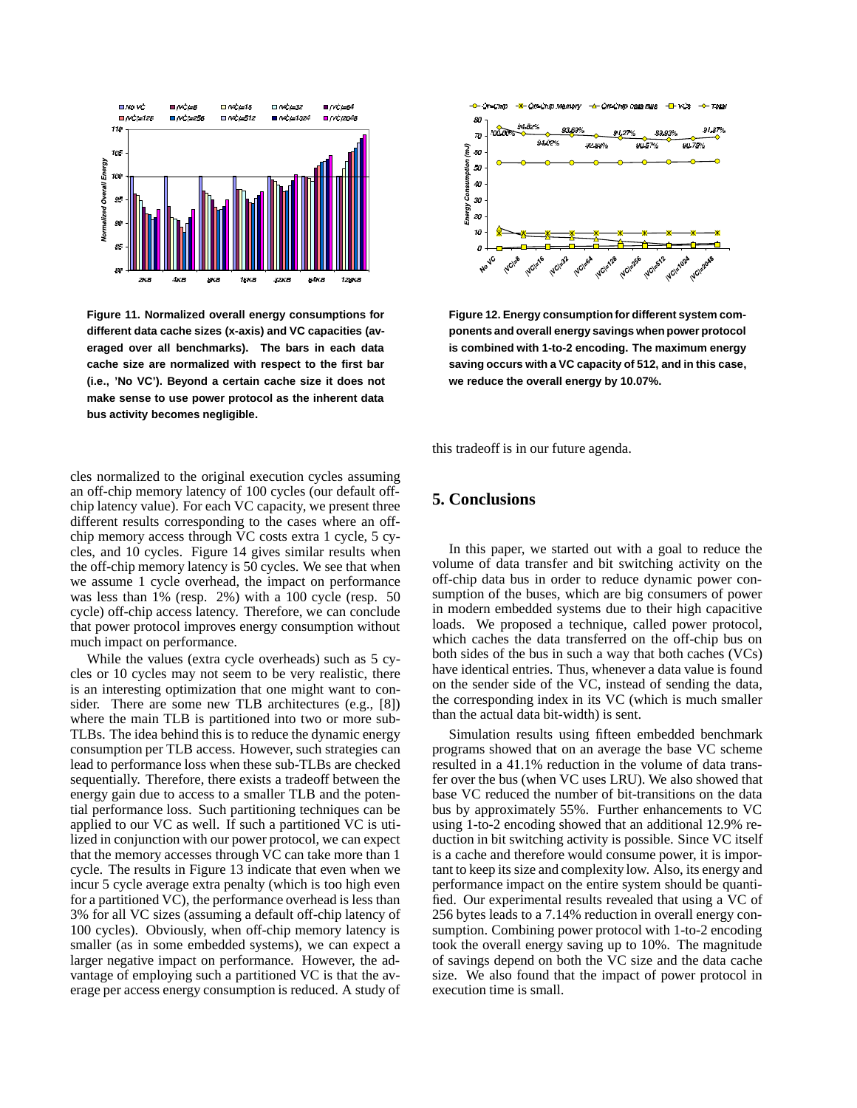

**Figure 11. Normalized overall energy consumptions for different data cache sizes (x-axis) and VC capacities (averaged over all benchmarks). The bars in each data cache size are normalized with respect to the first bar (i.e., 'No VC'). Beyond a certain cache size it does not make sense to use power protocol as the inherent data bus activity becomes negligible.**

cles normalized to the original execution cycles assuming an off-chip memory latency of 100 cycles (our default offchip latency value). For each VC capacity, we present three different results corresponding to the cases where an offchip memory access through VC costs extra 1 cycle, 5 cycles, and 10 cycles. Figure 14 gives similar results when the off-chip memory latency is 50 cycles. We see that when we assume 1 cycle overhead, the impact on performance was less than 1% (resp. 2%) with a 100 cycle (resp. 50 cycle) off-chip access latency. Therefore, we can conclude that power protocol improves energy consumption without much impact on performance.

While the values (extra cycle overheads) such as 5 cycles or 10 cycles may not seem to be very realistic, there is an interesting optimization that one might want to consider. There are some new TLB architectures (e.g., [8]) where the main TLB is partitioned into two or more sub-TLBs. The idea behind this is to reduce the dynamic energy consumption per TLB access. However, such strategies can lead to performance loss when these sub-TLBs are checked sequentially. Therefore, there exists a tradeoff between the energy gain due to access to a smaller TLB and the potential performance loss. Such partitioning techniques can be applied to our VC as well. If such a partitioned VC is utilized in conjunction with our power protocol, we can expect that the memory accesses through VC can take more than 1 cycle. The results in Figure 13 indicate that even when we incur 5 cycle average extra penalty (which is too high even for a partitioned VC), the performance overhead is less than 3% for all VC sizes (assuming a default off-chip latency of 100 cycles). Obviously, when off-chip memory latency is smaller (as in some embedded systems), we can expect a larger negative impact on performance. However, the advantage of employing such a partitioned VC is that the average per access energy consumption is reduced. A study of



**Figure 12. Energy consumption for different system components and overall energy savings when power protocol is combined with 1-to-2 encoding. The maximum energy saving occurs with a VC capacity of 512, and in this case, we reduce the overall energy by 10.07%.**

this tradeoff is in our future agenda.

# **5. Conclusions**

In this paper, we started out with a goal to reduce the volume of data transfer and bit switching activity on the off-chip data bus in order to reduce dynamic power consumption of the buses, which are big consumers of power in modern embedded systems due to their high capacitive loads. We proposed a technique, called power protocol, which caches the data transferred on the off-chip bus on both sides of the bus in such a way that both caches (VCs) have identical entries. Thus, whenever a data value is found on the sender side of the VC, instead of sending the data, the corresponding index in its VC (which is much smaller than the actual data bit-width) is sent.

Simulation results using fifteen embedded benchmark programs showed that on an average the base VC scheme resulted in a 41.1% reduction in the volume of data transfer over the bus (when VC uses LRU). We also showed that base VC reduced the number of bit-transitions on the data bus by approximately 55%. Further enhancements to VC using 1-to-2 encoding showed that an additional 12.9% reduction in bit switching activity is possible. Since VC itself is a cache and therefore would consume power, it is important to keep its size and complexity low. Also, its energy and performance impact on the entire system should be quantified. Our experimental results revealed that using a VC of 256 bytes leads to a 7.14% reduction in overall energy consumption. Combining power protocol with 1-to-2 encoding took the overall energy saving up to 10%. The magnitude of savings depend on both the VC size and the data cache size. We also found that the impact of power protocol in execution time is small.